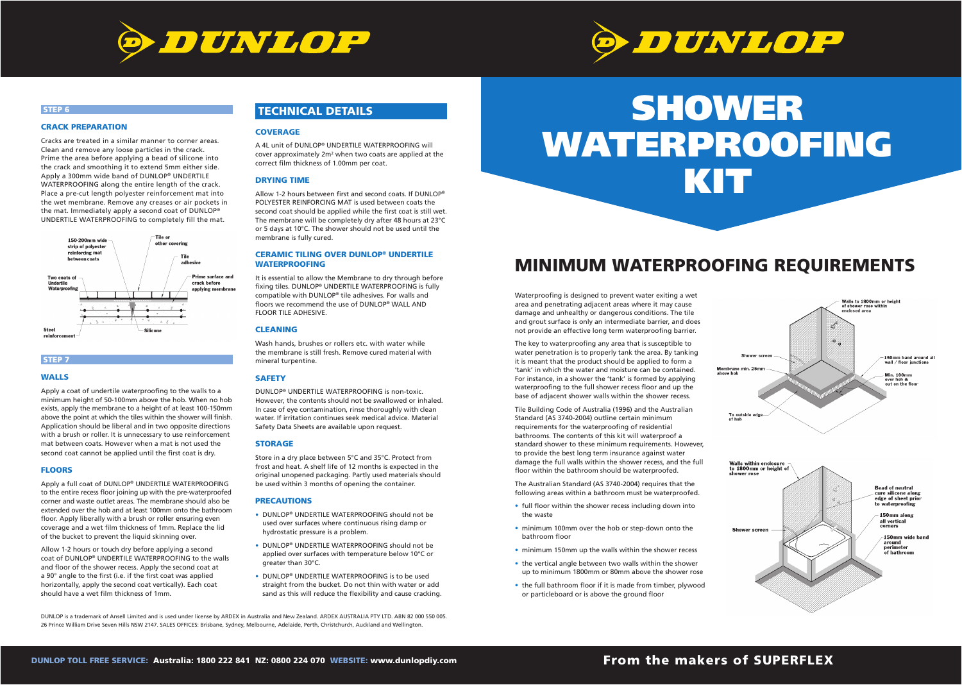# **SHOWER WATERPROOFING KIT**

The key to waterproofing any area that is susceptible to water penetration is to properly tank the area. By tanking it is meant that the product should be applied to form a 'tank' in which the water and moisture can be contained. For instance, in a shower the 'tank' is formed by applying waterproofing to the full shower recess floor and up the base of adjacent shower walls within the shower recess.

Tile Building Code of Australia (1996) and the Australian Standard (AS 3740-2004) outline certain minimum requirements for the waterproofing of residential bathrooms. The contents of this kit will waterproof a standard shower to these minimum requirements. However, to provide the best long term insurance against water damage the full walls within the shower recess, and the full floor within the bathroom should be waterproofed.

Cracks are treated in a similar manner to corner areas. Clean and remove any loose particles in the crack. Prime the area before applying a bead of silicone into the crack and smoothing it to extend 5mm either side. Apply a 300mm wide band of DUNLOP® UNDERTILE WATERPROOFING along the entire length of the crack. Place a pre-cut length polyester reinforcement mat into the wet membrane. Remove any creases or air pockets in the mat. Immediately apply a second coat of DUNLOP® UNDERTILE WATERPROOFING to completely fill the mat.



The Australian Standard (AS 3740-2004) requires that the following areas within a bathroom must be waterproofed.

- full floor within the shower recess including down into the waste
- minimum 100mm over the hob or step-down onto the bathroom floor
- minimum 150mm up the walls within the shower recess
- the vertical angle between two walls within the shower up to minimum 1800mm or 80mm above the shower rose
- the full bathroom floor if it is made from timber, plywood or particleboard or is above the ground floor

Allow 1-2 hours or touch dry before applying a second coat of DUNLOP® UNDERTILE WATERPROOFING to the walls and floor of the shower recess. Apply the second coat at a 90° angle to the first (i.e. if the first coat was applied horizontally, apply the second coat vertically). Each coat should have a wet film thickness of 1mm.

## **From the makers of SUPERFLEX**



## **MINIMUM WATERPROOFING REQUIREMENTS**

Waterproofing is designed to prevent water exiting a wet area and penetrating adjacent areas where it may cause damage and unhealthy or dangerous conditions. The tile and grout surface is only an intermediate barrier, and does not provide an effective long term waterproofing barrier.





#### **STEP 6**

#### **CRACK PREPARATION**

A 4L unit of DUNLOP® UNDERTILE WATERPROOFING will cover approximately  $2m^2$  when two coats are applied at the correct film thickness of 1.00mm per coat.

Allow 1-2 hours between first and second coats. If DUNLOP® POLYESTER REINFORCING MAT is used between coats the second coat should be applied while the first coat is still wet. The membrane will be completely dry after 48 hours at 23°C or 5 days at 10°C. The shower should not be used until the membrane is fully cured.

#### **STEP 7**

#### **WALLS**

Apply a coat of undertile waterproofing to the walls to a minimum height of 50-100mm above the hob. When no hob exists, apply the membrane to a height of at least 100-150mm above the point at which the tiles within the shower will finish. Application should be liberal and in two opposite directions with a brush or roller. It is unnecessary to use reinforcement mat between coats. However when a mat is not used the second coat cannot be applied until the first coat is dry.

- DUNLOP® UNDERTILE WATERPROOFING should not be used over surfaces where continuous rising damp or hydrostatic pressure is a problem.
- DUNLOP® UNDERTILE WATERPROOFING should not be applied over surfaces with temperature below 10°C or greater than 30°C.
- DUNLOP® UNDERTILE WATERPROOFING is to be used straight from the bucket. Do not thin with water or add sand as this will reduce the flexibility and cause cracking.

#### **FLOORS**

Apply a full coat of DUNLOP® UNDERTILE WATERPROOFING to the entire recess floor joining up with the pre-waterproofed corner and waste outlet areas. The membrane should also be extended over the hob and at least 100mm onto the bathroom floor. Apply liberally with a brush or roller ensuring even coverage and a wet film thickness of 1mm. Replace the lid of the bucket to prevent the liquid skinning over.

### **TECHNICAL DETAILS**

#### **COVERAGE**

#### **DRYING TIME**

#### **CERAMIC TILING OVER DUNLOP® UNDERTILE WATERPROOFING**

It is essential to allow the Membrane to dry through before fixing tiles. DUNLOP<sup>®</sup> UNDERTILE WATERPROOFING is fully compatible with DUNLOP® tile adhesives. For walls and floors we recommend the use of DUNLOP® WALL AND FLOOR TILE ADHESIVE.

#### **CLEANING**

Wash hands, brushes or rollers etc. with water while the membrane is still fresh. Remove cured material with mineral turpentine.

#### **SAFETY**

DUNLOP® UNDERTILE WATERPROOFING is non-toxic. However, the contents should not be swallowed or inhaled. In case of eye contamination, rinse thoroughly with clean water. If irritation continues seek medical advice. Material Safety Data Sheets are available upon request.

#### **STORAGE**

Store in a dry place between 5°C and 35°C. Protect from frost and heat. A shelf life of 12 months is expected in the original unopened packaging. Partly used materials should be used within 3 months of opening the container.

#### **PRECAUTIONS**

DUNLOP is a trademark of Ansell Limited and is used under license by ARDEX in Australia and New Zealand. ARDEX AUSTRALIA PTY LTD. ABN 82 000 550 005. 26 Prince William Drive Seven Hills NSW 2147. SALES OFFICES: Brisbane, Sydney, Melbourne, Adelaide, Perth, Christchurch, Auckland and Wellington.